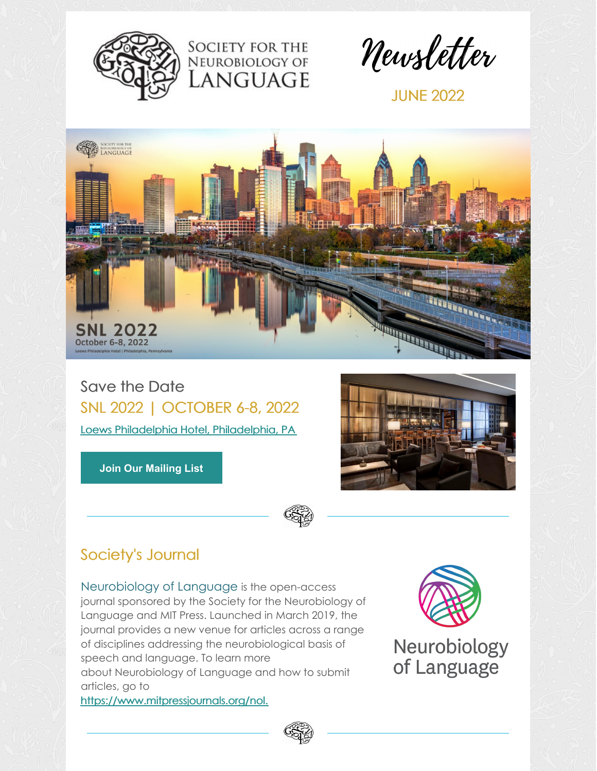



Newsletter

JUNE 2022



Save the Date SNL 2022 | OCTOBER 6-8, 2022 Loews Philadelphia Hotel, [Philadelphia,](https://www.loewshotels.com/philadelphia-hotel) PA

**Join Our [Mailing](https://visitor.r20.constantcontact.com/manage/optin?v=001LoN65urbqSN0pJqfl6cvlxy8pEJtSKDj) List**



## Society's Journal

[Neurobiology](http://neurolang.org/neurobiology-of-language/) of Language is the open-access journal sponsored by the Society for the Neurobiology of Language and MIT Press. Launched in March 2019, the journal provides a new venue for articles across a range of disciplines addressing the neurobiological basis of speech and language. To learn more about Neurobiology of Language and how to submit articles, go to [https://www.mitpressjournals.org/nol.](https://www.mitpressjournals.org/nol)



Neurobiology of Language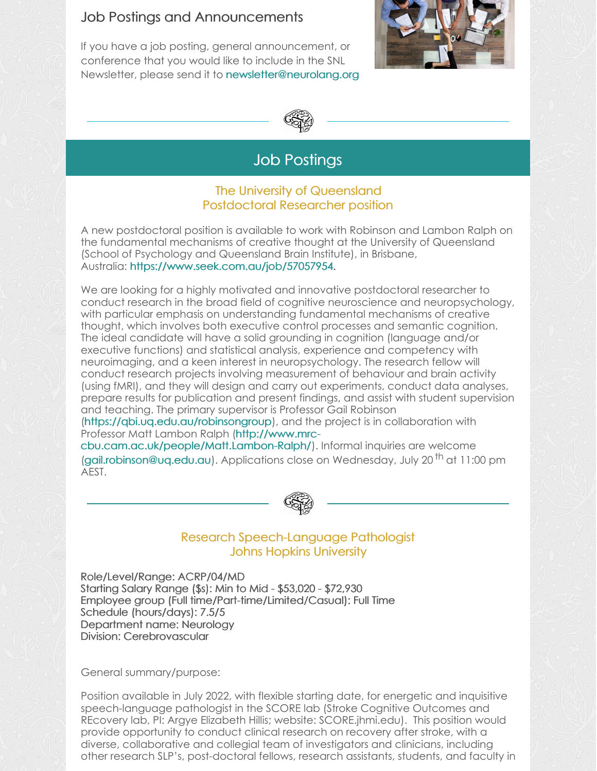### Job Postings and Announcements

If you have a job posting, general announcement, or conference that you would like to include in the SNL Newsletter, please send it to [newsletter@neurolang.org](mailto:newsletter@neurolang.org)





## Job Postings

#### The University of Queensland Postdoctoral Researcher position

A new postdoctoral position is available to work with Robinson and Lambon Ralph on the fundamental mechanisms of creative thought at the University of Queensland (School of Psychology and Queensland Brain Institute), in Brisbane, Australia: <https://www.seek.com.au/job/57057954>.

We are looking for a highly motivated and innovative postdoctoral researcher to conduct research in the broad field of cognitive neuroscience and neuropsychology, with particular emphasis on understanding fundamental mechanisms of creative thought, which involves both executive control processes and semantic cognition. The ideal candidate will have a solid grounding in cognition (language and/or executive functions) and statistical analysis, experience and competency with neuroimaging, and a keen interest in neuropsychology. The research fellow will conduct research projects involving measurement of behaviour and brain activity (using fMRI), and they will design and carry out experiments, conduct data analyses, prepare results for publication and present findings, and assist with student supervision and teaching. The primary supervisor is Professor Gail Robinson

[\(https://qbi.uq.edu.au/robinsongroup](https://qbi.uq.edu.au/robinsongroup)), and the project is in collaboration with Professor Matt Lambon Ralph (http://www.mrc-

[cbu.cam.ac.uk/people/Matt.Lambon-Ralph/\).](http://www.mrc-cbu.cam.ac.uk/people/Matt.Lambon-Ralph/) Informal inquiries are welcome [\(gail.robinson@uq.edu.au](mailto:gail.robinson@uq.edu.au)). Applications close on Wednesday, July 20<sup>th</sup> at 11:00 pm AEST.



#### Research Speech-Language Pathologist Johns Hopkins University

Role/Level/Range: ACRP/04/MD Starting Salary Range (\$s): Min to Mid - \$53,020 - \$72,930 Employee group (Full time/Part-time/Limited/Casual): Full Time Schedule (hours/days): 7.5/5 Department name: Neurology Division: Cerebrovascular

General summary/purpose:

Position available in July 2022, with flexible starting date, for energetic and inquisitive speech-language pathologist in the SCORE lab (Stroke Cognitive Outcomes and REcovery lab, PI: Argye Elizabeth Hillis; website: SCORE.jhmi.edu). This position would provide opportunity to conduct clinical research on recovery after stroke, with a diverse, collaborative and collegial team of investigators and clinicians, including other research SLP's, post-doctoral fellows, research assistants, students, and faculty in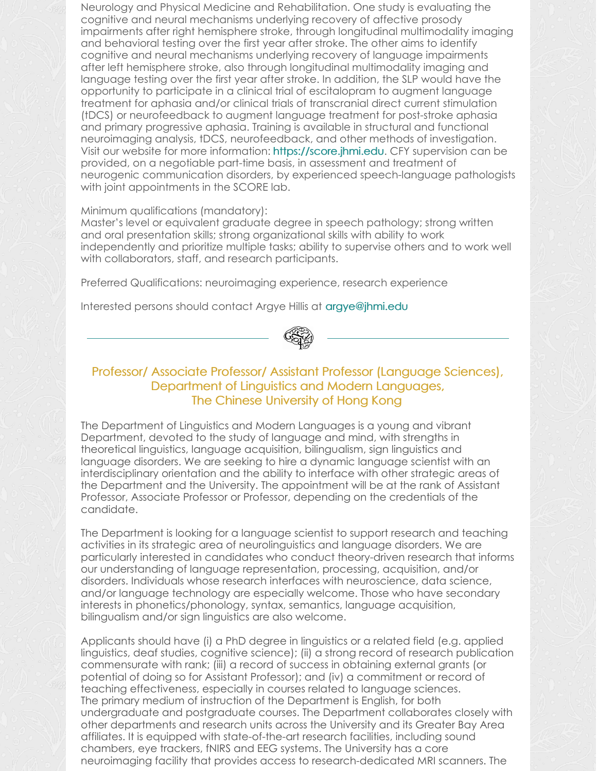Neurology and Physical Medicine and Rehabilitation. One study is evaluating the cognitive and neural mechanisms underlying recovery of affective prosody impairments after right hemisphere stroke, through longitudinal multimodality imaging and behavioral testing over the first year after stroke. The other aims to identify cognitive and neural mechanisms underlying recovery of language impairments after left hemisphere stroke, also through longitudinal multimodality imaging and language testing over the first year after stroke. In addition, the SLP would have the opportunity to participate in a clinical trial of escitalopram to augment language treatment for aphasia and/or clinical trials of transcranial direct current stimulation (tDCS) or neurofeedback to augment language treatment for post-stroke aphasia and primary progressive aphasia. Training is available in structural and functional neuroimaging analysis, tDCS, neurofeedback, and other methods of investigation. Visit our website for more information: <https://score.jhmi.edu>. CFY supervision can be provided, on a negotiable part-time basis, in assessment and treatment of neurogenic communication disorders, by experienced speech-language pathologists with joint appointments in the SCORE lab.

#### Minimum qualifications (mandatory):

Master's level or equivalent graduate degree in speech pathology; strong written and oral presentation skills; strong organizational skills with ability to work independently and prioritize multiple tasks; ability to supervise others and to work well with collaborators, staff, and research participants.

Preferred Qualifications: neuroimaging experience, research experience

Interested persons should contact Argye Hillis at [argye@jhmi.edu](mailto:argye@jhmi.edu)



#### Professor/ Associate Professor/ Assistant Professor (Language Sciences), Department of Linguistics and Modern Languages, The Chinese University of Hong Kong

The Department of Linguistics and Modern Languages is a young and vibrant Department, devoted to the study of language and mind, with strengths in theoretical linguistics, language acquisition, bilingualism, sign linguistics and language disorders. We are seeking to hire a dynamic language scientist with an interdisciplinary orientation and the ability to interface with other strategic areas of the Department and the University. The appointment will be at the rank of Assistant Professor, Associate Professor or Professor, depending on the credentials of the candidate.

The Department is looking for a language scientist to support research and teaching activities in its strategic area of neurolinguistics and language disorders. We are particularly interested in candidates who conduct theory-driven research that informs our understanding of language representation, processing, acquisition, and/or disorders. Individuals whose research interfaces with neuroscience, data science, and/or language technology are especially welcome. Those who have secondary interests in phonetics/phonology, syntax, semantics, language acquisition, bilingualism and/or sign linguistics are also welcome.

Applicants should have (i) a PhD degree in linguistics or a related field (e.g. applied linguistics, deaf studies, cognitive science); (ii) a strong record of research publication commensurate with rank; (iii) a record of success in obtaining external grants (or potential of doing so for Assistant Professor); and (iv) a commitment or record of teaching effectiveness, especially in courses related to language sciences. The primary medium of instruction of the Department is English, for both undergraduate and postgraduate courses. The Department collaborates closely with other departments and research units across the University and its Greater Bay Area affiliates. It is equipped with state-of-the-art research facilities, including sound chambers, eye trackers, fNIRS and EEG systems. The University has a core neuroimaging facility that provides access to research-dedicated MRI scanners. The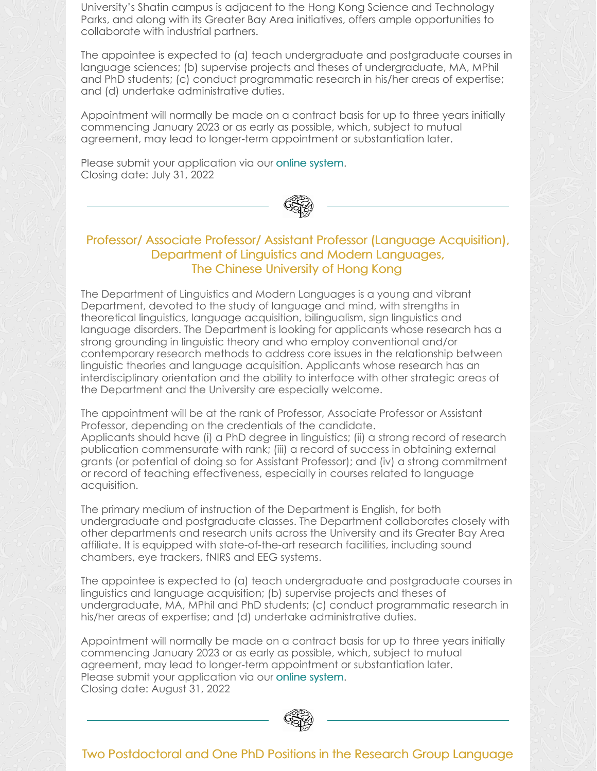University's Shatin campus is adjacent to the Hong Kong Science and Technology Parks, and along with its Greater Bay Area initiatives, offers ample opportunities to collaborate with industrial partners.

The appointee is expected to (a) teach undergraduate and postgraduate courses in language sciences; (b) supervise projects and theses of undergraduate, MA, MPhil and PhD students; (c) conduct programmatic research in his/her areas of expertise; and (d) undertake administrative duties.

Appointment will normally be made on a contract basis for up to three years initially commencing January 2023 or as early as possible, which, subject to mutual agreement, may lead to longer-term appointment or substantiation later.

Please submit your application via our online [system](https://cuhk.taleo.net/careersection/cu_career_teach/jobdetail.ftl?job=2200017S&tz=GMT%2B08%3A00&tzname=Asia%2FHong_Kong). Closing date: July 31, 2022



#### Professor/ Associate Professor/ Assistant Professor (Language Acquisition), Department of Linguistics and Modern Languages, The Chinese University of Hong Kong

The Department of Linguistics and Modern Languages is a young and vibrant Department, devoted to the study of language and mind, with strengths in theoretical linguistics, language acquisition, bilingualism, sign linguistics and language disorders. The Department is looking for applicants whose research has a strong grounding in linguistic theory and who employ conventional and/or contemporary research methods to address core issues in the relationship between linguistic theories and language acquisition. Applicants whose research has an interdisciplinary orientation and the ability to interface with other strategic areas of the Department and the University are especially welcome.

The appointment will be at the rank of Professor, Associate Professor or Assistant Professor, depending on the credentials of the candidate. Applicants should have (i) a PhD degree in linguistics; (ii) a strong record of research publication commensurate with rank; (iii) a record of success in obtaining external grants (or potential of doing so for Assistant Professor); and (iv) a strong commitment or record of teaching effectiveness, especially in courses related to language acquisition.

The primary medium of instruction of the Department is English, for both undergraduate and postgraduate classes. The Department collaborates closely with other departments and research units across the University and its Greater Bay Area affiliate. It is equipped with state-of-the-art research facilities, including sound chambers, eye trackers, fNIRS and EEG systems.

The appointee is expected to (a) teach undergraduate and postgraduate courses in linguistics and language acquisition; (b) supervise projects and theses of undergraduate, MA, MPhil and PhD students; (c) conduct programmatic research in his/her areas of expertise; and (d) undertake administrative duties.

Appointment will normally be made on a contract basis for up to three years initially commencing January 2023 or as early as possible, which, subject to mutual agreement, may lead to longer-term appointment or substantiation later. Please submit your application via our online [system](https://cuhk.taleo.net/careersection/cu_career_teach/jobdetail.ftl?job=2200017V&tz=GMT%2B08%3A00&tzname=Asia%2FHong_Kong). Closing date: August 31, 2022



#### Two Postdoctoral and One PhD Positions in the Research Group Language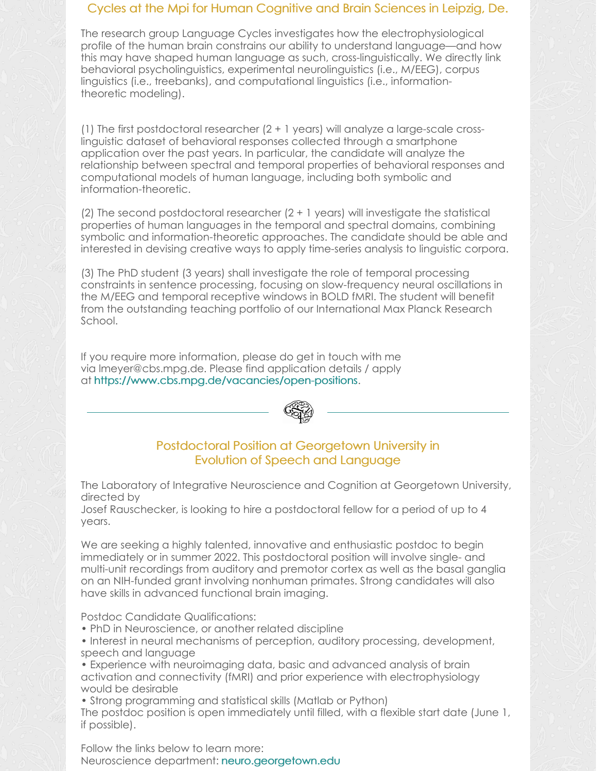#### Cycles at the Mpi for Human Cognitive and Brain Sciences in Leipzig, De.

The research group Language Cycles investigates how the electrophysiological profile of the human brain constrains our ability to understand language—and how this may have shaped human language as such, cross-linguistically. We directly link behavioral psycholinguistics, experimental neurolinguistics (i.e., M/EEG), corpus linguistics (i.e., treebanks), and computational linguistics (i.e., informationtheoretic modeling).

(1) The first postdoctoral researcher (2 + 1 years) will analyze a large-scale crosslinguistic dataset of behavioral responses collected through a smartphone application over the past years. In particular, the candidate will analyze the relationship between spectral and temporal properties of behavioral responses and computational models of human language, including both symbolic and information-theoretic.

(2) The second postdoctoral researcher  $(2 + 1 \text{ years})$  will investigate the statistical properties of human languages in the temporal and spectral domains, combining symbolic and information-theoretic approaches. The candidate should be able and interested in devising creative ways to apply time-series analysis to linguistic corpora.

(3) The PhD student (3 years) shall investigate the role of temporal processing constraints in sentence processing, focusing on slow-frequency neural oscillations in the M/EEG and temporal receptive windows in BOLD fMRI. The student will benefit from the outstanding teaching portfolio of our International Max Planck Research School.

If you require more information, please do get in touch with me via [lmeyer@cbs.mpg.de](mailto:lmeyer@cbs.mpg.de). Please find application details / apply at <https://www.cbs.mpg.de/vacancies/open-positions>.



#### Postdoctoral Position at Georgetown University in Evolution of Speech and Language

The Laboratory of Integrative Neuroscience and Cognition at Georgetown University, directed by

Josef Rauschecker, is looking to hire a postdoctoral fellow for a period of up to 4 years.

We are seeking a highly talented, innovative and enthusiastic postdoc to begin immediately or in summer 2022. This postdoctoral position will involve single- and multi-unit recordings from auditory and premotor cortex as well as the basal ganglia on an NIH-funded grant involving nonhuman primates. Strong candidates will also have skills in advanced functional brain imaging.

Postdoc Candidate Qualifications:

- PhD in Neuroscience, or another related discipline
- Interest in neural mechanisms of perception, auditory processing, development, speech and language
- Experience with neuroimaging data, basic and advanced analysis of brain activation and connectivity (fMRI) and prior experience with electrophysiology would be desirable

• Strong programming and statistical skills (Matlab or Python)

The postdoc position is open immediately until filled, with a flexible start date (June 1, if possible).

Follow the links below to learn more: Neuroscience department: [neuro.georgetown.edu](https://neuro.georgetown.edu/)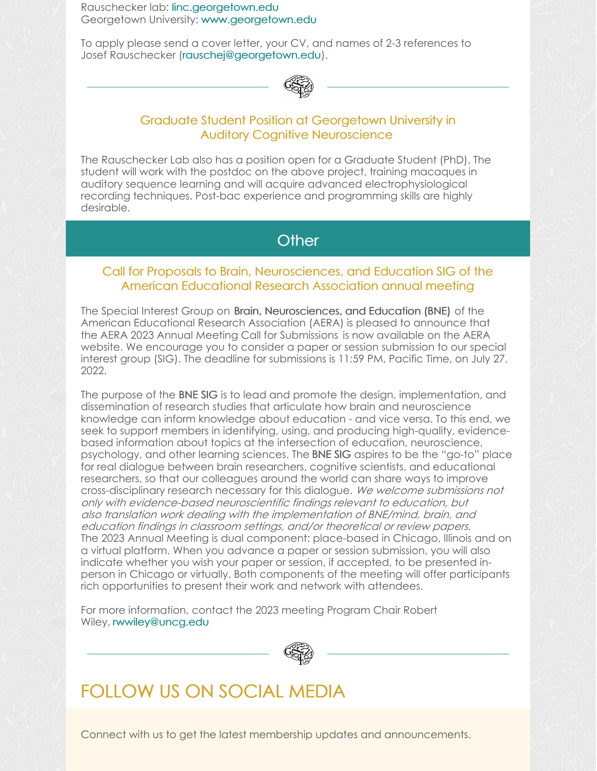Rauschecker lab: [linc.georgetown.edu](https://linc.georgetown.edu/) Georgetown University: [www.georgetown.edu](http://www.georgetown.edu)

To apply please send a cover letter, your CV, and names of 2-3 references to Josef Rauschecker [\(rauschej@georgetown.edu](mailto:rauschej@georgetown.edu)).



#### Graduate Student Position at Georgetown University in Auditory Cognitive Neuroscience

The Rauschecker Lab also has a position open for a Graduate Student (PhD). The student will work with the postdoc on the above project, training macaques in auditory sequence learning and will acquire advanced electrophysiological recording techniques. Post-bac experience and programming skills are highly desirable.

## **Other**

#### Call for Proposals to Brain, Neurosciences, and Education SIG of the American Educational Research Association annual meeting

The Special Interest Group on Brain, Neurosciences, and Education (BNE) of the American Educational Research Association (AERA) is pleased to announce that the AERA 2023 Annual Meeting Call for [Submissions](http://aera.informz.net/z/cjUucD9taT0zNjUyNDc2JnA9MSZ1PTM5NzkzMDE4MiZsaT0zNTU0OTg2MA/index.html) is now available on the AERA website. We encourage you to consider a paper or session submission to our special interest group (SIG). The deadline for submissions is 11:59 PM, Pacific Time, on July 27, 2022.

The purpose of the BNE SIG is to lead and promote the design, implementation, and dissemination of research studies that articulate how brain and neuroscience knowledge can inform knowledge about education - and vice versa. To this end, we seek to support members in identifying, using, and producing high-quality, evidencebased information about topics at the intersection of education, neuroscience, psychology, and other learning sciences. The BNE SIG aspires to be the "go-to" place for real dialogue between brain researchers, cognitive scientists, and educational researchers, so that our colleagues around the world can share ways to improve cross-disciplinary research necessary for this dialogue. We welcome submissions not only with evidence-based neuroscientific findings relevant to education, but also translation work dealing with the implementation of BNE/mind, brain, and education findings in classroom settings, and/or theoretical or review papers. The 2023 Annual Meeting is dual component: place-based in Chicago, Illinois and on a virtual platform. When you advance a paper or session submission, you will also indicate whether you wish your paper or session, if accepted, to be presented inperson in Chicago or virtually. Both components of the meeting will offer participants rich opportunities to present their work and network with attendees.

For more information, contact the 2023 meeting Program Chair Robert Wiley, [rwwiley@uncg.edu](mailto:rwwiley@uncg.edu)



# FOLLOW US ON SOCIAL MEDIA

Connect with us to get the latest membership updates and announcements.